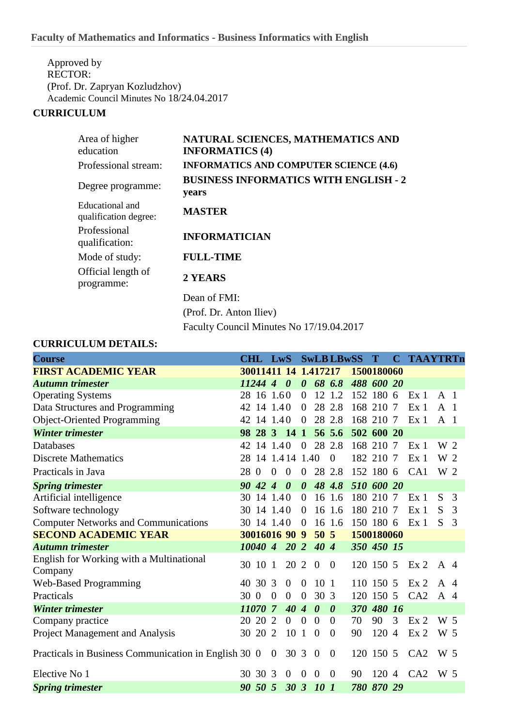Approved by RECTOR: (Prof. Dr. Zapryan Kozludzhov) Academic Council Minutes No 18/24.04.2017

## **CURRICULUM**

| Area of higher<br>education              | NATURAL SCIENCES, MATHEMATICS AND<br><b>INFORMATICS (4)</b> |
|------------------------------------------|-------------------------------------------------------------|
| Professional stream:                     | <b>INFORMATICS AND COMPUTER SCIENCE (4.6)</b>               |
| Degree programme:                        | <b>BUSINESS INFORMATICS WITH ENGLISH - 2</b><br>years       |
| Educational and<br>qualification degree: | <b>MASTER</b>                                               |
| Professional<br>qualification:           | <b>INFORMATICIAN</b>                                        |
| Mode of study:                           | <b>FULL-TIME</b>                                            |
| Official length of<br>programme:         | 2 YEARS                                                     |
|                                          | Dean of FMI:                                                |
|                                          | (Prof. Dr. Anton Iliev)                                     |

Faculty Council Minutes No 17/19.04.2017

## **CURRICULUM DETAILS:**

| <b>Course</b>                                        | CHL LwS |             |                   |                       |                       |                       | <b>SwLBLBwSS</b>      |            | T          |                | <b>C TAAYTRTn</b> |                |   |
|------------------------------------------------------|---------|-------------|-------------------|-----------------------|-----------------------|-----------------------|-----------------------|------------|------------|----------------|-------------------|----------------|---|
| <b>FIRST ACADEMIC YEAR</b>                           |         |             |                   |                       | 30011411 14 1.417217  |                       |                       | 1500180060 |            |                |                   |                |   |
| <b>Autumn trimester</b>                              |         | 11244 4     |                   | $\boldsymbol{\theta}$ | $\boldsymbol{\theta}$ |                       | 68 6.8                |            | 488 600 20 |                |                   |                |   |
| <b>Operating Systems</b>                             |         |             | 28 16 1.60        |                       | $\overline{0}$        |                       | 12 1.2                |            | 152 180 6  |                | Ex <sub>1</sub>   | A <sub>1</sub> |   |
| Data Structures and Programming                      |         |             | 42 14 1.40        |                       | $\overline{0}$        |                       | 28 2.8                |            | 168 210 7  |                | Ex <sub>1</sub>   | A <sub>1</sub> |   |
| <b>Object-Oriented Programming</b>                   |         |             | 42 14 1.40        |                       | $\overline{0}$        |                       | 28 2.8                |            | 168 210 7  |                | Ex <sub>1</sub>   | A <sub>1</sub> |   |
| <b>Winter trimester</b>                              |         |             | 98 28 3 14 1      |                       |                       |                       | 56 5.6                |            | 502 600 20 |                |                   |                |   |
| Databases                                            |         |             | 42 14 1.40        |                       | $\overline{0}$        |                       | 28 2.8                |            | 168 210 7  |                | Ex <sub>1</sub>   | W 2            |   |
| <b>Discrete Mathematics</b>                          |         |             | 28 14 1.4 14 1.40 |                       |                       |                       | $\theta$              |            | 182 210 7  |                | Ex <sub>1</sub>   | W 2            |   |
| Practicals in Java                                   | 28 0    |             | $\mathbf{0}$      | $\mathbf{0}$          | $\overline{0}$        |                       | 28 2.8                |            | 152 180 6  |                | CA1               | W 2            |   |
| <b>Spring trimester</b>                              |         | $90\,42\,4$ |                   | $\boldsymbol{\theta}$ | $\boldsymbol{\theta}$ |                       | 48 4.8                |            | 510 600 20 |                |                   |                |   |
| Artificial intelligence                              | 30      |             | 14 1.40           |                       | $\overline{0}$        |                       | 16 1.6                |            | 180 210 7  |                | Ex <sub>1</sub>   | S              | 3 |
| Software technology                                  |         |             | 30 14 1.40        |                       | $\overline{0}$        |                       | 16 1.6                |            | 180 210 7  |                | Ex <sub>1</sub>   | S.             | 3 |
| <b>Computer Networks and Communications</b>          |         |             | 30 14 1.40        |                       | $\Omega$              |                       | 16 1.6                |            | 150 180 6  |                | Ex <sub>1</sub>   | S.             | 3 |
| <b>SECOND ACADEMIC YEAR</b>                          |         |             | 30016016 90 9     |                       |                       | $50\,5$               |                       |            | 1500180060 |                |                   |                |   |
| <b>Autumn trimester</b>                              |         | 10040 4     |                   | $20\,2$               |                       | $40\,4$               |                       |            | 350 450 15 |                |                   |                |   |
| English for Working with a Multinational             |         | 30 10 1     |                   | 20 2                  |                       | $\mathbf{0}$          | $\overline{0}$        |            | 120 150 5  |                | Ex <sub>2</sub>   | A $\ddot{4}$   |   |
| Company<br><b>Web-Based Programming</b>              |         | 40 30 3     |                   | $\overline{0}$        | $\overline{0}$        | 10 <sub>1</sub>       |                       |            | 110 150 5  |                | Ex <sub>2</sub>   | A $\ddot{4}$   |   |
| Practicals                                           | 30 0    |             | $\boldsymbol{0}$  | $\overline{0}$        | $\overline{0}$        | 30 3                  |                       |            | 120 150 5  |                | CA2               | A 4            |   |
| <b>Winter trimester</b>                              |         | 11070 7     |                   | 40                    | $\overline{4}$        | $\boldsymbol{\theta}$ | $\boldsymbol{\theta}$ | <b>370</b> | 480 16     |                |                   |                |   |
| Company practice                                     |         | 20 20 2     |                   | $\overline{0}$        | $\overline{0}$        | $\Omega$              | $\Omega$              | 70         | 90         | 3              | Ex <sub>2</sub>   | W 5            |   |
| Project Management and Analysis                      |         | 30 20 2     |                   | 10 <sub>1</sub>       |                       | $\theta$              | $\Omega$              | 90         | 120 4      |                | Ex <sub>2</sub>   | W 5            |   |
| Practicals in Business Communication in English 30 0 |         |             | $\boldsymbol{0}$  | 30 3                  |                       | $\overline{0}$        | $\overline{0}$        |            | 120 150 5  |                | CA2               | W 5            |   |
| Elective No 1                                        |         | 30 30 3     |                   | $\overline{0}$        | $\overline{0}$        | $\overline{0}$        | $\theta$              | 90         | 120        | $\overline{4}$ | CA2               | W 5            |   |
| <b>Spring trimester</b>                              |         | 90 50 5     |                   | $30\,3$               |                       | <i>10 1</i>           |                       |            | 780 870 29 |                |                   |                |   |